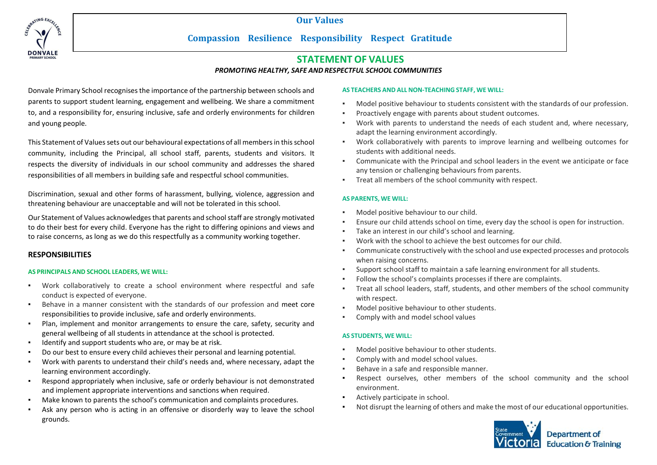**Our Values**



# **Compassion Resilience Responsibility Respect Gratitude**

# **STATEMENT OF VALUES**

*PROMOTING HEALTHY, SAFE AND RESPECTFUL SCHOOL COMMUNITIES*

Donvale Primary School recognises the importance of the partnership between schools and parents to support student learning, engagement and wellbeing. We share a commitment to, and a responsibility for, ensuring inclusive, safe and orderly environments for children and young people.

This Statement of Values sets out our behavioural expectations of all members in this school community, including the Principal, all school staff, parents, students and visitors. It respects the diversity of individuals in our school community and addresses the shared responsibilities of all members in building safe and respectful school communities.

Discrimination, sexual and other forms of harassment, bullying, violence, aggression and threatening behaviour are unacceptable and will not be tolerated in this school.

Our Statement of Values acknowledges that parents and school staff are strongly motivated to do their best for every child. Everyone has the right to differing opinions and views and to raise concerns, as long as we do this respectfully as a community working together.

# **RESPONSIBILITIES**

## **AS PRINCIPALS AND SCHOOL LEADERS, WE WILL:**

- Work collaboratively to create a school environment where respectful and safe conduct is expected of everyone.
- Behave in a manner consistent with the standards of our profession and meet core responsibilities to provide inclusive, safe and orderly environments.
- Plan, implement and monitor arrangements to ensure the care, safety, security and general wellbeing of all students in attendance at the school is protected.
- Identify and support students who are, or may be at risk.
- Do our best to ensure every child achieves their personal and learning potential.
- Work with parents to understand their child's needs and, where necessary, adapt the learning environment accordingly.
- Respond appropriately when inclusive, safe or orderly behaviour is not demonstrated and implement appropriate interventions and sanctions when required.
- Make known to parents the school's communication and complaints procedures.
- Ask any person who is acting in an offensive or disorderly way to leave the school grounds.

## **AS TEACHERS AND ALL NON-TEACHING STAFF, WE WILL:**

- Model positive behaviour to students consistent with the standards of our profession.
- Proactively engage with parents about student outcomes.
- Work with parents to understand the needs of each student and, where necessary, adapt the learning environment accordingly.
- Work collaboratively with parents to improve learning and wellbeing outcomes for students with additional needs.
- Communicate with the Principal and school leaders in the event we anticipate or face any tension or challenging behaviours from parents.
- Treat all members of the school community with respect.

## **AS PARENTS, WE WILL:**

- Model positive behaviour to our child.
- Ensure our child attends school on time, every day the school is open for instruction.
- Take an interest in our child's school and learning.
- Work with the school to achieve the best outcomes for our child.
- Communicate constructively with the school and use expected processes and protocols when raising concerns.
- Support school staff to maintain a safe learning environment for all students.
- Follow the school's complaints processes if there are complaints.
- Treat all school leaders, staff, students, and other members of the school community with respect.
- Model positive behaviour to other students.
- Comply with and model school values

## **AS STUDENTS, WE WILL:**

- Model positive behaviour to other students.
- Comply with and model school values.
- Behave in a safe and responsible manner.
- Respect ourselves, other members of the school community and the school environment.
- Actively participate in school.
- Not disrupt the learning of others and make the most of our educational opportunities.